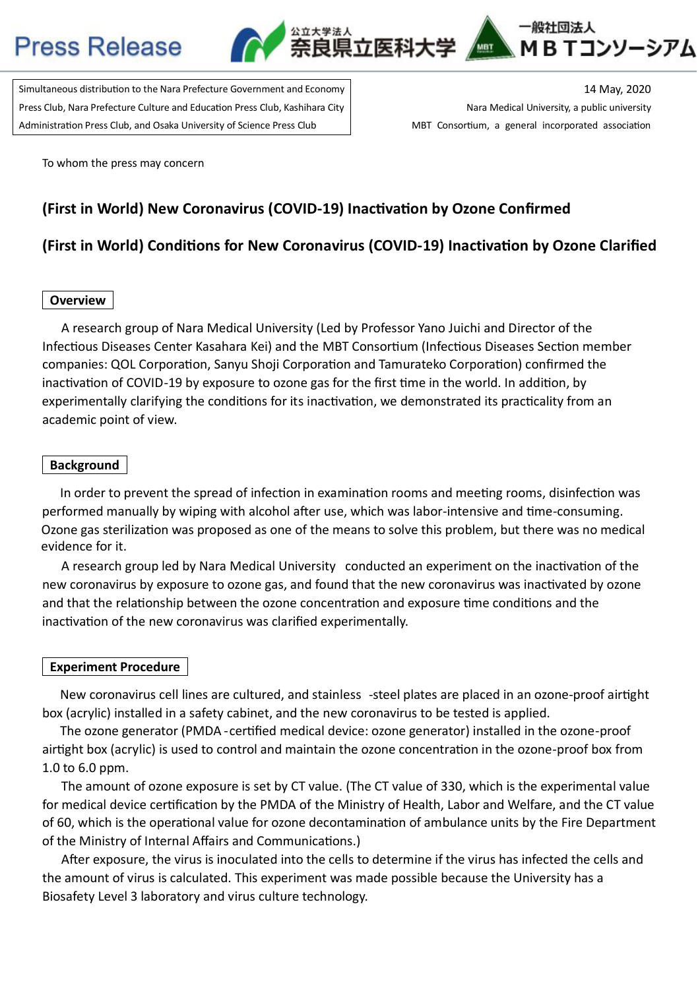# **Press Release**



Simultaneous distribution to the Nara Prefecture Government and Economy Press Club, Nara Prefecture Culture and Education Press Club, Kashihara City Administration Press Club, and Osaka University of Science Press Club

14 May, 2020 Nara Medical University, a public university MBT Consortium, a general incorporated association

To whom the press may concern

# **(First in World) New Coronavirus (COVID-19) Inac�va�on by Ozone Confirmed**

# **(First in World) Condi�ons for New Coronavirus (COVID-19) Inactiva�on by Ozone Clarified**

## **Overview**

A research group of Nara Medical University (Led by Professor Yano Juichi and Director of the Infectious Diseases Center Kasahara Kei) and the MBT Consortium (Infectious Diseases Section member companies: QOL Corporation, Sanyu Shoji Corporation and Tamurateko Corporation) confirmed the inactivation of COVID-19 by exposure to ozone gas for the first time in the world. In addition, by experimentally clarifying the conditions for its inactivation, we demonstrated its practicality from an academic point of view.

## **Background**

In order to prevent the spread of infection in examination rooms and meeting rooms, disinfection was performed manually by wiping with alcohol after use, which was labor-intensive and time-consuming. Ozone gas sterilization was proposed as one of the means to solve this problem, but there was no medical evidence for it.

A research group led by Nara Medical University conducted an experiment on the inactivation of the new coronavirus by exposure to ozone gas, and found that the new coronavirus was inactivated by ozone and that the relationship between the ozone concentration and exposure time conditions and the inactivation of the new coronavirus was clarified experimentally.

## **Experiment Procedure**

New coronavirus cell lines are cultured, and stainless -steel plates are placed in an ozone-proof airtight box (acrylic) installed in a safety cabinet, and the new coronavirus to be tested is applied.

The ozone generator (PMDA -cer�fied medical device: ozone generator) installed in the ozone-proof airtight box (acrylic) is used to control and maintain the ozone concentration in the ozone-proof box from 1.0 to 6.0 ppm.

The amount of ozone exposure is set by CT value. (The CT value of 330, which is the experimental value for medical device certification by the PMDA of the Ministry of Health, Labor and Welfare, and the CT value of 60, which is the operational value for ozone decontamination of ambulance units by the Fire Department of the Ministry of Internal Affairs and Communications.)

A�er exposure, the virus is inoculated into the cells to determine if the virus has infected the cells and the amount of virus is calculated. This experiment was made possible because the University has a Biosafety Level 3 laboratory and virus culture technology.